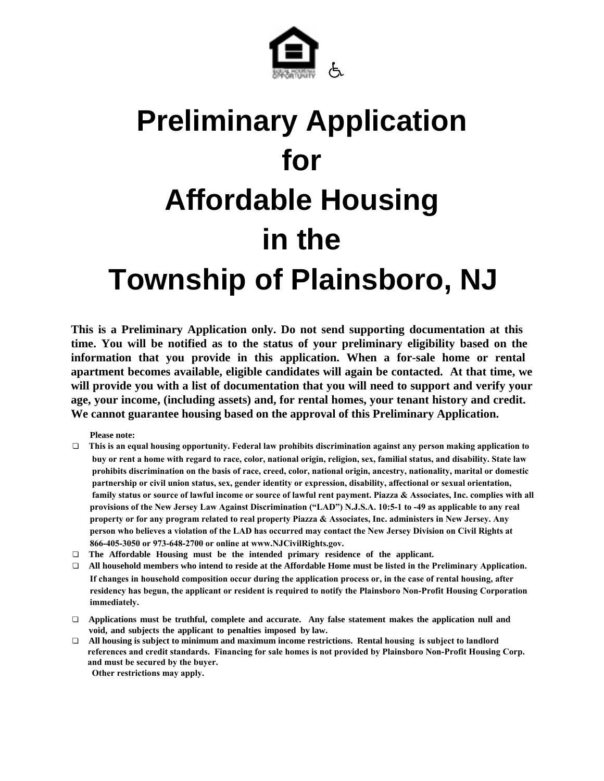

# **Preliminary Application for Affordable Housing in the Township of Plainsboro, NJ**

**This is a Preliminary Application only. Do not send supporting documentation at this time. You will be notified as to the status of your preliminary eligibility based on the information that you provide in this application. When a for-sale home or rental apartment becomes available, eligible candidates will again be contacted. At that time, we will provide you with a list of documentation that you will need to support and verify your age, your income, (including assets) and, for rental homes, your tenant history and credit. We cannot guarantee housing based on the approval of this Preliminary Application.** 

**Please note:**

- " **This is an equal housing opportunity. Federal law prohibits discrimination against any person making application to buy or rent a home with regard to race, color, national origin, religion, sex, familial status, and disability. State law prohibits discrimination on the basis of race, creed, color, national origin, ancestry, nationality, marital or domestic partnership or civil union status, sex, gender identity or expression, disability, affectional or sexual orientation, family status or source of lawful income or source of lawful rent payment. Piazza & Associates, Inc. complies with all provisions of the New Jersey Law Against Discrimination ("LAD") N.J.S.A. 10:5-1 to -49 as applicable to any real property or for any program related to real property Piazza & Associates, Inc. administers in New Jersey. Any person who believes a violation of the LAD has occurred may contact the New Jersey Division on Civil Rights at 866-405-3050 or 973-648-2700 or online at www.NJCivilRights.gov.**
- □ The Affordable Housing must be the intended primary residence of the applicant.
- □ All household members who intend to reside at the Affordable Home must be listed in the Preliminary Application. **If changes in household composition occur during the application process or, in the case of rental housing, after residency has begun, the applicant or resident is required to notify the Plainsboro Non-Profit Housing Corporation immediately.**
- " **Applications must be truthful, complete and accurate. Any false statement makes the application null and void, and subjects the applicant to penalties imposed by law.**
- " **All housing is subject to minimum and maximum income restrictions. Rental housing is subject to landlord references and credit standards. Financing for sale homes is not provided by Plainsboro Non-Profit Housing Corp. and must be secured by the buyer. Other restrictions may apply.**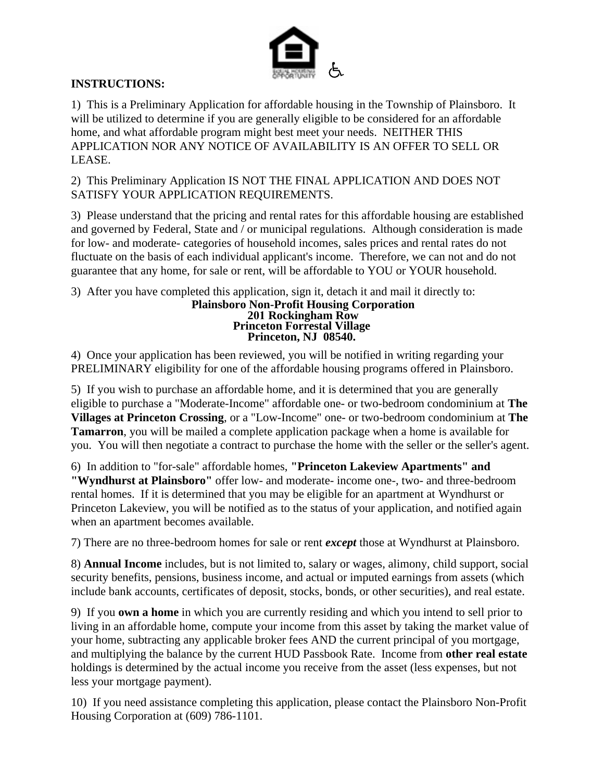

## **INSTRUCTIONS:**

1) This is a Preliminary Application for affordable housing in the Township of Plainsboro. It will be utilized to determine if you are generally eligible to be considered for an affordable home, and what affordable program might best meet your needs. NEITHER THIS APPLICATION NOR ANY NOTICE OF AVAILABILITY IS AN OFFER TO SELL OR LEASE.

2) This Preliminary Application IS NOT THE FINAL APPLICATION AND DOES NOT SATISFY YOUR APPLICATION REQUIREMENTS.

3) Please understand that the pricing and rental rates for this affordable housing are established and governed by Federal, State and / or municipal regulations. Although consideration is made for low- and moderate- categories of household incomes, sales prices and rental rates do not fluctuate on the basis of each individual applicant's income. Therefore, we can not and do not guarantee that any home, for sale or rent, will be affordable to YOU or YOUR household.

3) After you have completed this application, sign it, detach it and mail it directly to:

**Plainsboro Non-Profit Housing Corporation 201 Rockingham Row Princeton Forrestal Village Princeton, NJ 08540.**

4) Once your application has been reviewed, you will be notified in writing regarding your PRELIMINARY eligibility for one of the affordable housing programs offered in Plainsboro.

5) If you wish to purchase an affordable home, and it is determined that you are generally eligible to purchase a "Moderate-Income" affordable one- or two-bedroom condominium at **The Villages at Princeton Crossing**, or a "Low-Income" one- or two-bedroom condominium at **The Tamarron**, you will be mailed a complete application package when a home is available for you. You will then negotiate a contract to purchase the home with the seller or the seller's agent.

6) In addition to "for-sale" affordable homes, **"Princeton Lakeview Apartments" and "Wyndhurst at Plainsboro"** offer low- and moderate- income one-, two- and three-bedroom rental homes. If it is determined that you may be eligible for an apartment at Wyndhurst or Princeton Lakeview, you will be notified as to the status of your application, and notified again when an apartment becomes available.

7) There are no three-bedroom homes for sale or rent *except* those at Wyndhurst at Plainsboro.

8) **Annual Income** includes, but is not limited to, salary or wages, alimony, child support, social security benefits, pensions, business income, and actual or imputed earnings from assets (which include bank accounts, certificates of deposit, stocks, bonds, or other securities), and real estate.

9) If you **own a home** in which you are currently residing and which you intend to sell prior to living in an affordable home, compute your income from this asset by taking the market value of your home, subtracting any applicable broker fees AND the current principal of you mortgage, and multiplying the balance by the current HUD Passbook Rate. Income from **other real estate** holdings is determined by the actual income you receive from the asset (less expenses, but not less your mortgage payment).

10) If you need assistance completing this application, please contact the Plainsboro Non-Profit Housing Corporation at (609) 786-1101.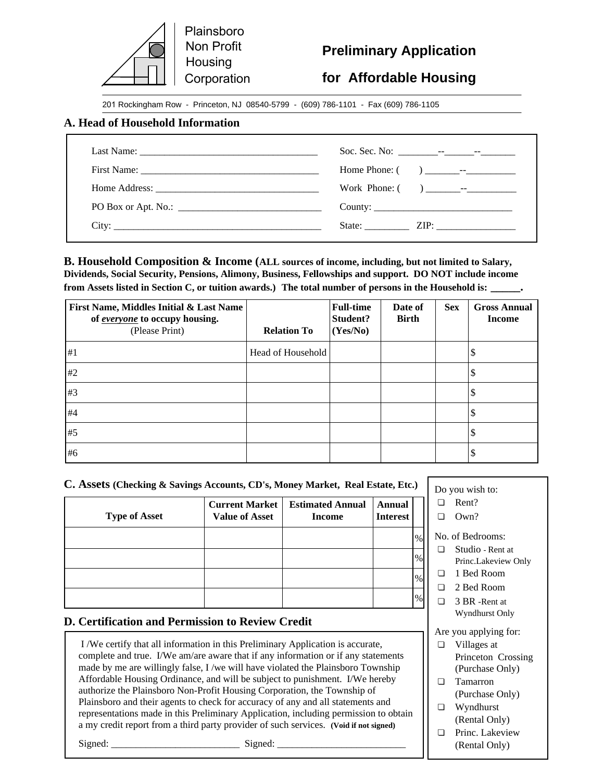

# **Preliminary Application**

# **for Affordable Housing**

Do you wish to:  $\Box$  Rent?  $\Box$  Own?

No. of Bedrooms:  $\Box$  Studio - Rent at

□ 1 Bed Room □ 2 Bed Room  $\Box$  3 BR -Rent at Wyndhurst Only

Are you applying for:  $\Box$  Villages at

 $\square$  Tamarron

 $\Box$  Wyndhurst (Rental Only)  $\Box$  Princ. Lakeview (Rental Only)

Princ.Lakeview Only

Princeton Crossing (Purchase Only)

(Purchase Only)

201 Rockingham Row - Princeton, NJ 08540-5799 - (609) 786-1101 - Fax (609) 786-1105

#### **A. Head of Household Information**

| State: $ZIP:$ |
|---------------|

**B. Household Composition & Income (ALL sources of income, including, but not limited to Salary, Dividends, Social Security, Pensions, Alimony, Business, Fellowships and support. DO NOT include income from Assets listed in Section C, or tuition awards.) The total number of persons in the Household is: \_\_\_\_\_.**

| First Name, Middles Initial & Last Name<br>of <i>everyone</i> to occupy housing.<br>(Please Print) | <b>Relation To</b> | <b>Full-time</b><br>Student?<br>(Yes/No) | Date of<br><b>Birth</b> | <b>Sex</b> | <b>Gross Annual</b><br><b>Income</b> |
|----------------------------------------------------------------------------------------------------|--------------------|------------------------------------------|-------------------------|------------|--------------------------------------|
| #1                                                                                                 | Head of Household  |                                          |                         |            |                                      |
| #2                                                                                                 |                    |                                          |                         |            |                                      |
| #3                                                                                                 |                    |                                          |                         |            |                                      |
| #4                                                                                                 |                    |                                          |                         |            |                                      |
| #5                                                                                                 |                    |                                          |                         |            |                                      |
| #6                                                                                                 |                    |                                          |                         |            |                                      |

#### **C. Assets (Checking & Savings Accounts, CD's, Money Market, Real Estate, Etc.)**

| <b>Type of Asset</b> | <b>Current Market</b><br><b>Value of Asset</b> | <b>Estimated Annual</b><br><b>Income</b> | <b>Annual</b><br><b>Interest</b> |      |
|----------------------|------------------------------------------------|------------------------------------------|----------------------------------|------|
|                      |                                                |                                          |                                  | $\%$ |
|                      |                                                |                                          |                                  | $\%$ |
|                      |                                                |                                          |                                  | $\%$ |
|                      |                                                |                                          |                                  | $\%$ |

#### **D. Certification and Permission to Review Credit**

 I /We certify that all information in this Preliminary Application is accurate, complete and true. I/We am/are aware that if any information or if any statements made by me are willingly false, I /we will have violated the Plainsboro Township Affordable Housing Ordinance, and will be subject to punishment. I/We hereby authorize the Plainsboro Non-Profit Housing Corporation, the Township of Plainsboro and their agents to check for accuracy of any and all statements and representations made in this Preliminary Application, including permission to obtain a my credit report from a third party provider of such services. **(Void if not signed)**

Signed: \_\_\_\_\_\_\_\_\_\_\_\_\_\_\_\_\_\_\_\_\_\_\_\_\_\_ Signed: \_\_\_\_\_\_\_\_\_\_\_\_\_\_\_\_\_\_\_\_\_\_\_\_\_\_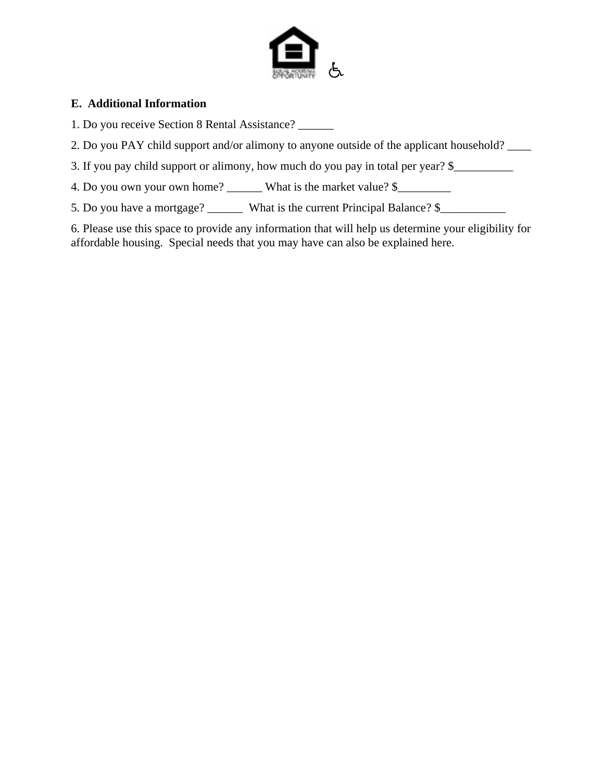

## **E. Additional Information**

- 1. Do you receive Section 8 Rental Assistance? \_\_\_\_\_\_
- 2. Do you PAY child support and/or alimony to anyone outside of the applicant household? \_\_\_\_
- 3. If you pay child support or alimony, how much do you pay in total per year? \$\_\_\_\_\_\_\_\_\_\_\_\_\_\_\_\_\_\_\_\_\_\_\_\_\_\_\_\_\_\_
- 4. Do you own your own home? \_\_\_\_\_\_\_ What is the market value? \$\_\_\_\_\_\_\_\_\_\_\_\_\_\_\_\_
- 5. Do you have a mortgage? What is the current Principal Balance? \$

6. Please use this space to provide any information that will help us determine your eligibility for affordable housing. Special needs that you may have can also be explained here.